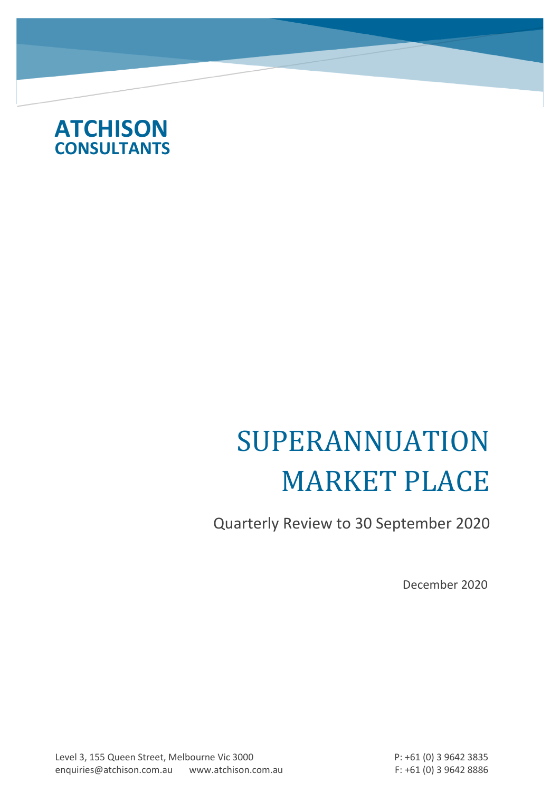

# SUPERANNUATION MARKET PLACE

Quarterly Review to 30 September 2020

December 2020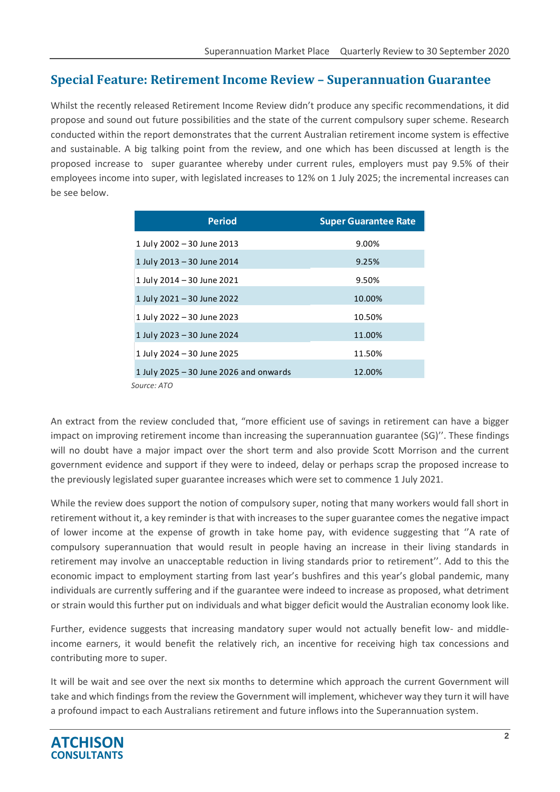### **Special Feature: Retirement Income Review – Superannuation Guarantee**

Whilst the recently released Retirement Income Review didn't produce any specific recommendations, it did propose and sound out future possibilities and the state of the current compulsory super scheme. Research conducted within the report demonstrates that the current Australian retirement income system is effective and sustainable. A big talking point from the review, and one which has been discussed at length is the proposed increase to super guarantee whereby under current rules, employers must pay 9.5% of their employees income into super, with legislated increases to 12% on 1 July 2025; the incremental increases can be see below.

| <b>Period</b>                            | <b>Super Guarantee Rate</b> |
|------------------------------------------|-----------------------------|
| 1 July 2002 - 30 June 2013               | 9.00%                       |
| 1 July 2013 - 30 June 2014               | 9.25%                       |
| 1 July 2014 - 30 June 2021               | 9.50%                       |
| 1 July 2021 - 30 June 2022               | 10.00%                      |
| 1 July 2022 - 30 June 2023               | 10.50%                      |
| 1 July 2023 - 30 June 2024               | 11.00%                      |
| 1 July 2024 - 30 June 2025               | 11.50%                      |
| 1 July 2025 $-$ 30 June 2026 and onwards | 12.00%                      |
| Source: ATO                              |                             |

An extract from the review concluded that, "more efficient use of savings in retirement can have a bigger impact on improving retirement income than increasing the superannuation guarantee (SG)''. These findings will no doubt have a major impact over the short term and also provide Scott Morrison and the current government evidence and support if they were to indeed, delay or perhaps scrap the proposed increase to the previously legislated super guarantee increases which were set to commence 1 July 2021.

While the review does support the notion of compulsory super, noting that many workers would fall short in retirement without it, a key reminder is that with increases to the super guarantee comes the negative impact of lower income at the expense of growth in take home pay, with evidence suggesting that ''A rate of compulsory superannuation that would result in people having an increase in their living standards in retirement may involve an unacceptable reduction in living standards prior to retirement''. Add to this the economic impact to employment starting from last year's bushfires and this year's global pandemic, many individuals are currently suffering and if the guarantee were indeed to increase as proposed, what detriment or strain would this further put on individuals and what bigger deficit would the Australian economy look like.

Further, evidence suggests that increasing mandatory super would not actually benefit low- and middleincome earners, it would benefit the relatively rich, an incentive for receiving high tax concessions and contributing more to super.

It will be wait and see over the next six months to determine which approach the current Government will take and which findings from the review the Government will implement, whichever way they turn it will have a profound impact to each Australians retirement and future inflows into the Superannuation system.

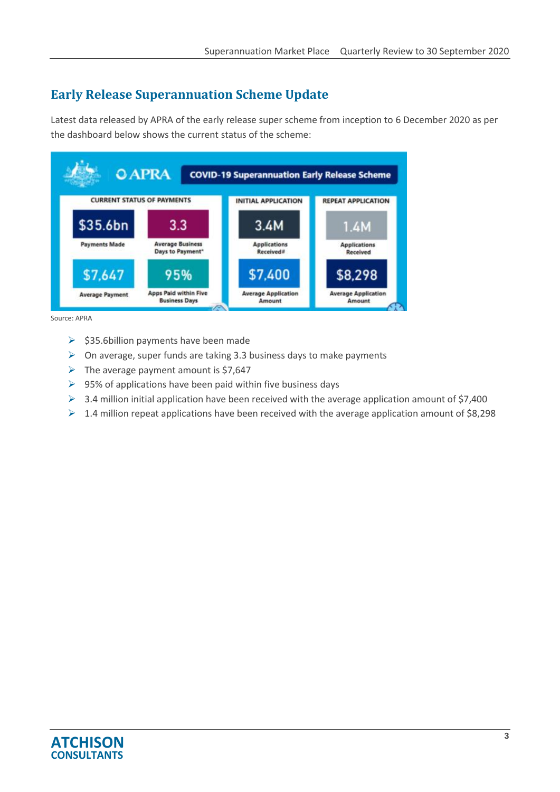# **Early Release Superannuation Scheme Update**

Latest data released by APRA of the early release super scheme from inception to 6 December 2020 as per the dashboard below shows the current status of the scheme:



Source: APRA

- ➢ \$35.6billion payments have been made
- $\triangleright$  On average, super funds are taking 3.3 business days to make payments
- $\triangleright$  The average payment amount is \$7,647
- $\triangleright$  95% of applications have been paid within five business days
- $\triangleright$  3.4 million initial application have been received with the average application amount of \$7,400
- $\triangleright$  1.4 million repeat applications have been received with the average application amount of \$8,298

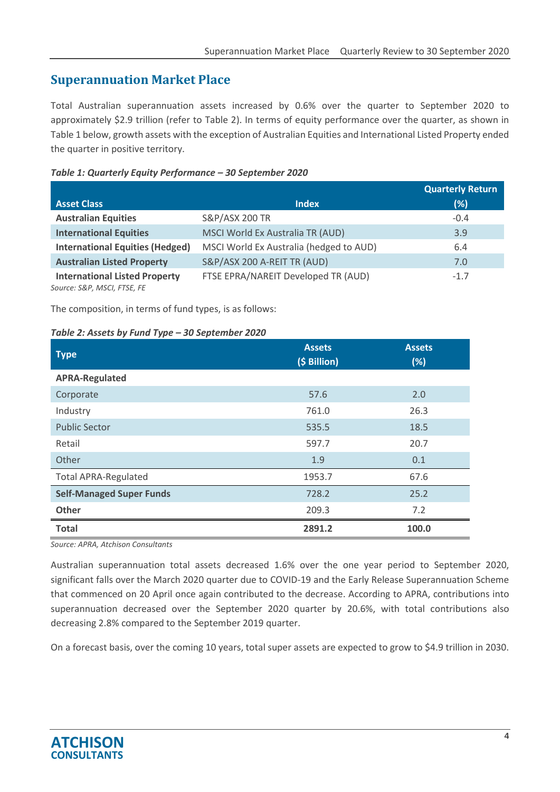## **Superannuation Market Place**

Total Australian superannuation assets increased by 0.6% over the quarter to September 2020 to approximately \$2.9 trillion (refer to Table 2). In terms of equity performance over the quarter, as shown in Table 1 below, growth assets with the exception of Australian Equities and International Listed Property ended the quarter in positive territory.

#### *Table 1: Quarterly Equity Performance – 30 September 2020*

|                                                                     |                                         | <b>Quarterly Return</b> |
|---------------------------------------------------------------------|-----------------------------------------|-------------------------|
| <b>Asset Class</b>                                                  | <b>Index</b>                            | (%)                     |
| <b>Australian Equities</b>                                          | <b>S&amp;P/ASX 200 TR</b>               | $-0.4$                  |
| <b>International Equities</b>                                       | MSCI World Ex Australia TR (AUD)        | 3.9                     |
| <b>International Equities (Hedged)</b>                              | MSCI World Ex Australia (hedged to AUD) | 6.4                     |
| <b>Australian Listed Property</b>                                   | S&P/ASX 200 A-REIT TR (AUD)             | 7.0                     |
| <b>International Listed Property</b><br>Source: S&P, MSCI, FTSE, FE | FTSE EPRA/NAREIT Developed TR (AUD)     | $-1.7$                  |

The composition, in terms of fund types, is as follows:

#### *Table 2: Assets by Fund Type – 30 September 2020*

| <b>Type</b>                     | <b>Assets</b><br>(\$ Billion) | <b>Assets</b><br>(%) |
|---------------------------------|-------------------------------|----------------------|
| <b>APRA-Regulated</b>           |                               |                      |
| Corporate                       | 57.6                          | 2.0                  |
| Industry                        | 761.0                         | 26.3                 |
| <b>Public Sector</b>            | 535.5                         | 18.5                 |
| Retail                          | 597.7                         | 20.7                 |
| Other                           | 1.9                           | 0.1                  |
| <b>Total APRA-Regulated</b>     | 1953.7                        | 67.6                 |
| <b>Self-Managed Super Funds</b> | 728.2                         | 25.2                 |
| Other                           | 209.3                         | 7.2                  |
| <b>Total</b>                    | 2891.2                        | 100.0                |

*Source: APRA, Atchison Consultants*

Australian superannuation total assets decreased 1.6% over the one year period to September 2020, significant falls over the March 2020 quarter due to COVID-19 and the Early Release Superannuation Scheme that commenced on 20 April once again contributed to the decrease. According to APRA, contributions into superannuation decreased over the September 2020 quarter by 20.6%, with total contributions also decreasing 2.8% compared to the September 2019 quarter.

On a forecast basis, over the coming 10 years, total super assets are expected to grow to \$4.9 trillion in 2030.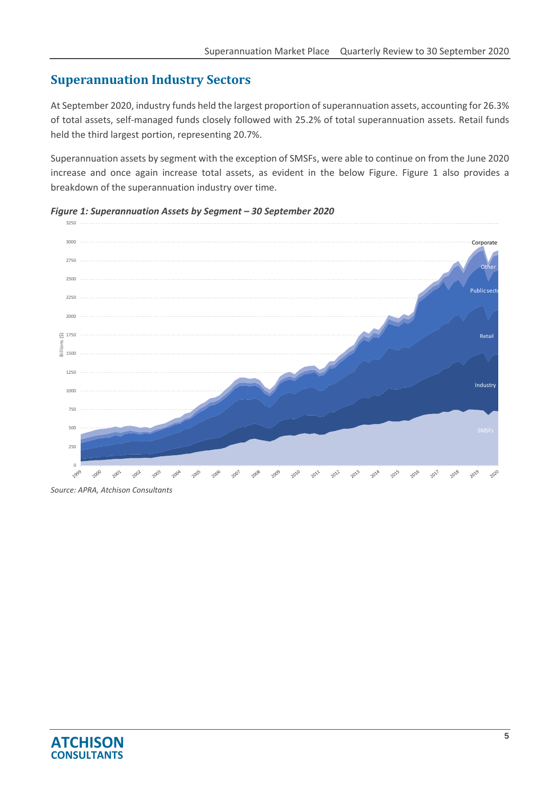## **Superannuation Industry Sectors**

At September 2020, industry funds held the largest proportion of superannuation assets, accounting for 26.3% of total assets, self-managed funds closely followed with 25.2% of total superannuation assets. Retail funds held the third largest portion, representing 20.7%.

Superannuation assets by segment with the exception of SMSFs, were able to continue on from the June 2020 increase and once again increase total assets, as evident in the below Figure. Figure 1 also provides a breakdown of the superannuation industry over time.

#### *Figure 1: Superannuation Assets by Segment – 30 September 2020*



*Source: APRA, Atchison Consultants*

3250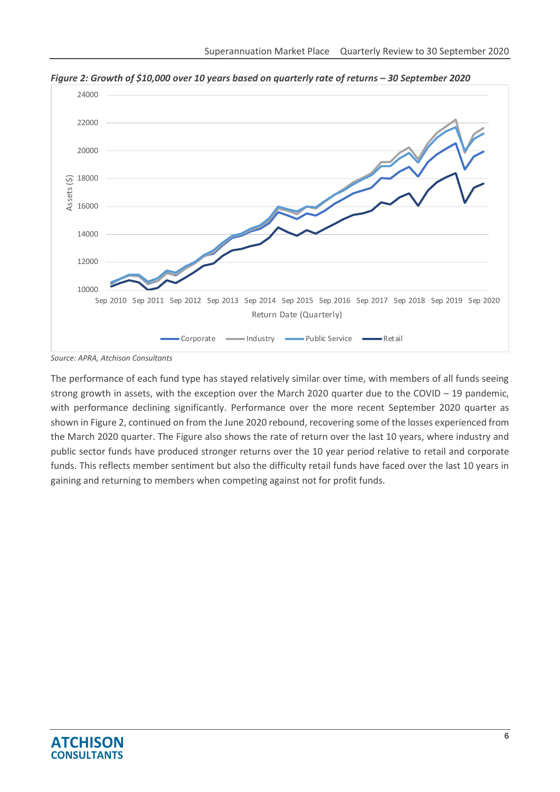

*Figure* 2: *Growth of \$10,000 over 10 years based on quarterly rate of returns – 30 September 2020* 

The performance of each fund type has stayed relatively similar over time, with members of all funds seeing strong growth in assets, with the exception over the March 2020 quarter due to the COVID  $-$  19 pandemic, with performance declining significantly. Performance over the more recent September 2020 quarter as shown in Figure 2, continued on from the June 2020 rebound, recovering some of the losses experienced from the March 2020 quarter. The Figure also shows the rate of return over the last 10 years, where industry and public sector funds have produced stronger returns over the 10 year period relative to retail and corporate funds. This reflects member sentiment but also the difficulty retail funds have faced over the last 10 years in gaining and returning to members when competing against not for profit funds.



*Source: APRA, Atchison Consultants*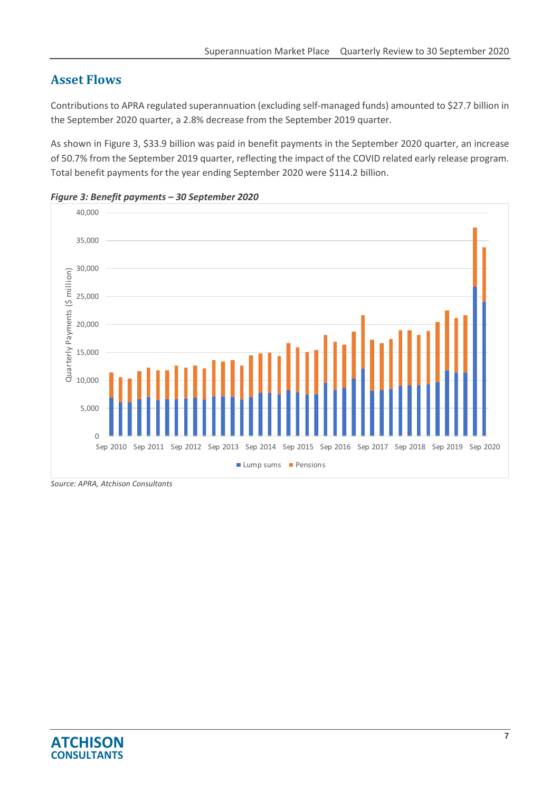## **Asset Flows**

Contributions to APRA regulated superannuation (excluding self-managed funds) amounted to \$27.7 billion in the September 2020 quarter, a 2.8% decrease from the September 2019 quarter.

As shown in Figure 3, \$33.9 billion was paid in benefit payments in the September 2020 quarter, an increase of 50.7% from the September 2019 quarter, reflecting the impact of the COVID related early release program. Total benefit payments for the year ending September 2020 were \$114.2 billion.





*Source: APRA, Atchison Consultants*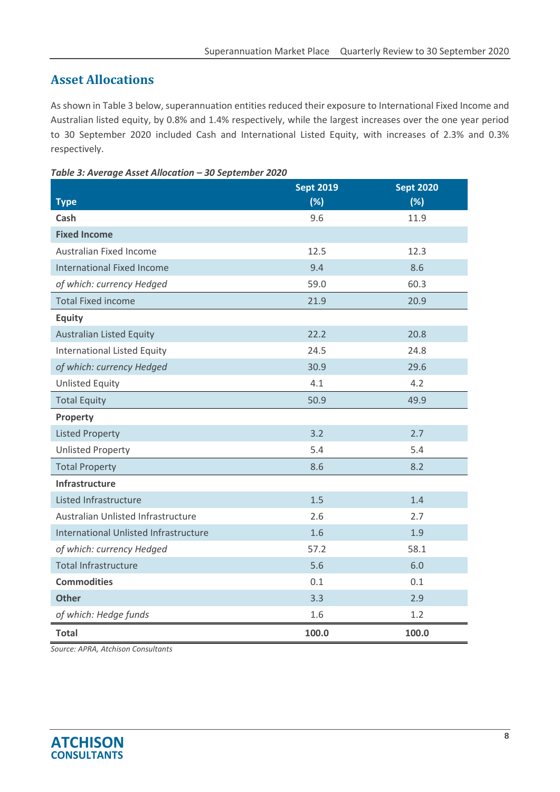## **Asset Allocations**

As shown in Table 3 below, superannuation entities reduced their exposure to International Fixed Income and Australian listed equity, by 0.8% and 1.4% respectively, while the largest increases over the one year period to 30 September 2020 included Cash and International Listed Equity, with increases of 2.3% and 0.3% respectively.

| Table 3: Average Asset Allocation - 30 September 2020 |  |
|-------------------------------------------------------|--|
|                                                       |  |

|                                       | <b>Sept 2019</b> | <b>Sept 2020</b> |
|---------------------------------------|------------------|------------------|
| <b>Type</b>                           | (%)              | (%)              |
| Cash                                  | 9.6              | 11.9             |
| <b>Fixed Income</b>                   |                  |                  |
| Australian Fixed Income               | 12.5             | 12.3             |
| <b>International Fixed Income</b>     | 9.4              | 8.6              |
| of which: currency Hedged             | 59.0             | 60.3             |
| <b>Total Fixed income</b>             | 21.9             | 20.9             |
| <b>Equity</b>                         |                  |                  |
| <b>Australian Listed Equity</b>       | 22.2             | 20.8             |
| <b>International Listed Equity</b>    | 24.5             | 24.8             |
| of which: currency Hedged             | 30.9             | 29.6             |
| <b>Unlisted Equity</b>                | 4.1              | 4.2              |
| <b>Total Equity</b>                   | 50.9             | 49.9             |
| Property                              |                  |                  |
| <b>Listed Property</b>                | 3.2              | 2.7              |
| <b>Unlisted Property</b>              | 5.4              | 5.4              |
| <b>Total Property</b>                 | 8.6              | 8.2              |
| Infrastructure                        |                  |                  |
| Listed Infrastructure                 | 1.5              | 1.4              |
| Australian Unlisted Infrastructure    | 2.6              | 2.7              |
| International Unlisted Infrastructure | 1.6              | 1.9              |
| of which: currency Hedged             | 57.2             | 58.1             |
| <b>Total Infrastructure</b>           | 5.6              | 6.0              |
| <b>Commodities</b>                    | 0.1              | 0.1              |
| <b>Other</b>                          | 3.3              | 2.9              |
| of which: Hedge funds                 | 1.6              | 1.2              |
| <b>Total</b>                          | 100.0            | 100.0            |

*Source: APRA, Atchison Consultants*